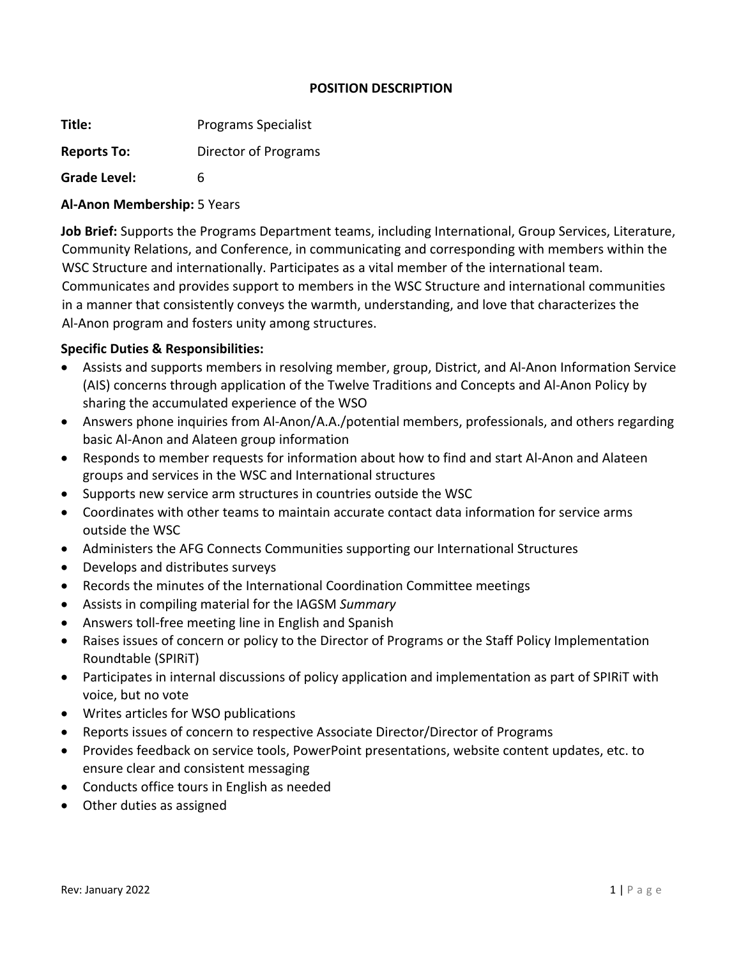#### **POSITION DESCRIPTION**

**Title:** Programs Specialist

**Reports To:** Director of Programs

**Grade Level:** 6

# **Al-Anon Membership:** 5 Years

**Job Brief:** Supports the Programs Department teams, including International, Group Services, Literature, Community Relations, and Conference, in communicating and corresponding with members within the WSC Structure and internationally. Participates as a vital member of the international team. Communicates and provides support to members in the WSC Structure and international communities in a manner that consistently conveys the warmth, understanding, and love that characterizes the Al-Anon program and fosters unity among structures.

# **Specific Duties & Responsibilities:**

- Assists and supports members in resolving member, group, District, and Al-Anon Information Service (AIS) concerns through application of the Twelve Traditions and Concepts and Al-Anon Policy by sharing the accumulated experience of the WSO
- Answers phone inquiries from Al-Anon/A.A./potential members, professionals, and others regarding basic Al-Anon and Alateen group information
- Responds to member requests for information about how to find and start Al-Anon and Alateen groups and services in the WSC and International structures
- Supports new service arm structures in countries outside the WSC
- Coordinates with other teams to maintain accurate contact data information for service arms outside the WSC
- Administers the AFG Connects Communities supporting our International Structures
- Develops and distributes surveys
- Records the minutes of the International Coordination Committee meetings
- Assists in compiling material for the IAGSM *Summary*
- Answers toll-free meeting line in English and Spanish
- Raises issues of concern or policy to the Director of Programs or the Staff Policy Implementation Roundtable (SPIRiT)
- Participates in internal discussions of policy application and implementation as part of SPIRiT with voice, but no vote
- Writes articles for WSO publications
- Reports issues of concern to respective Associate Director/Director of Programs
- Provides feedback on service tools, PowerPoint presentations, website content updates, etc. to ensure clear and consistent messaging
- Conducts office tours in English as needed
- Other duties as assigned